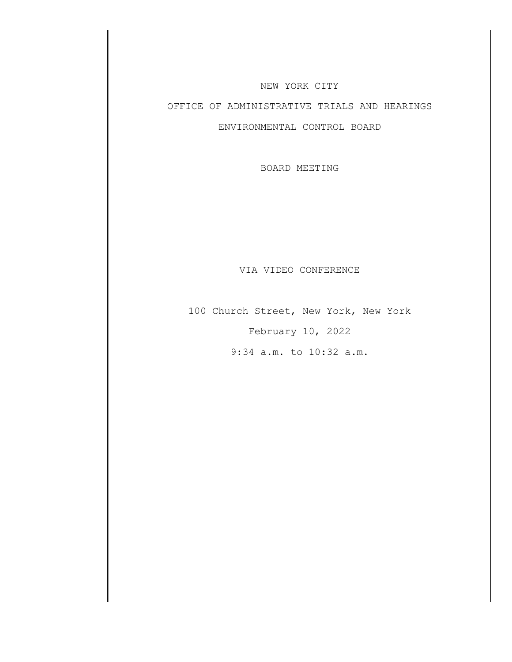#### NEW YORK CITY

# OFFICE OF ADMINISTRATIVE TRIALS AND HEARINGS

## ENVIRONMENTAL CONTROL BOARD

BOARD MEETING

#### VIA VIDEO CONFERENCE

100 Church Street, New York, New York February 10, 2022 9:34 a.m. to 10:32 a.m.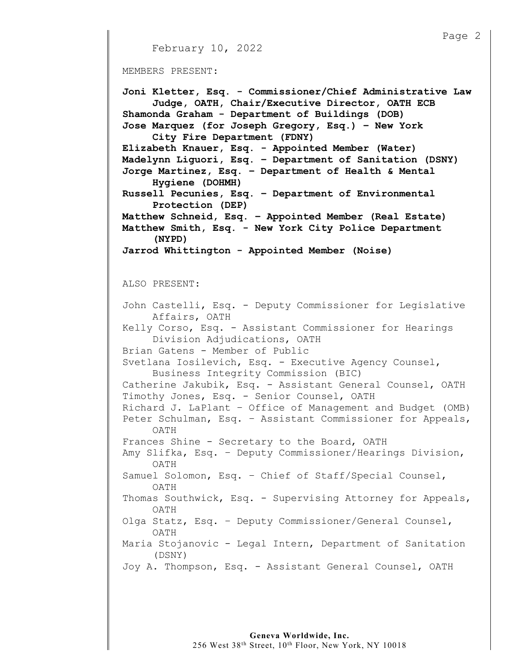```
Page 2 
      February 10, 2022
MEMBERS PRESENT: 
Joni Kletter, Esq. - Commissioner/Chief Administrative Law 
      Judge, OATH, Chair/Executive Director, OATH ECB 
Shamonda Graham - Department of Buildings (DOB) 
Jose Marquez (for Joseph Gregory, Esq.) – New York 
      City Fire Department (FDNY) 
Elizabeth Knauer, Esq. - Appointed Member (Water) 
Madelynn Liguori, Esq. – Department of Sanitation (DSNY) 
Jorge Martinez, Esq. – Department of Health & Mental 
      Hygiene (DOHMH) 
Russell Pecunies, Esq. – Department of Environmental 
      Protection (DEP) 
Matthew Schneid, Esq. – Appointed Member (Real Estate) 
Matthew Smith, Esq. - New York City Police Department 
      (NYPD) 
Jarrod Whittington - Appointed Member (Noise) 
ALSO PRESENT: 
John Castelli, Esq. - Deputy Commissioner for Legislative 
      Affairs, OATH 
Kelly Corso, Esq. - Assistant Commissioner for Hearings 
      Division Adjudications, OATH 
Brian Gatens - Member of Public 
Svetlana Iosilevich, Esq. - Executive Agency Counsel, 
      Business Integrity Commission (BIC) 
Catherine Jakubik, Esq. - Assistant General Counsel, OATH 
Timothy Jones, Esq. - Senior Counsel, OATH 
Richard J. LaPlant – Office of Management and Budget (OMB) 
Peter Schulman, Esq. – Assistant Commissioner for Appeals, 
      OATH 
Frances Shine - Secretary to the Board, OATH 
Amy Slifka, Esq. – Deputy Commissioner/Hearings Division, 
      OATH 
Samuel Solomon, Esq. – Chief of Staff/Special Counsel, 
     OATH 
Thomas Southwick, Esq. - Supervising Attorney for Appeals, 
     OATH 
Olga Statz, Esq. – Deputy Commissioner/General Counsel, 
     OATH 
Maria Stojanovic - Legal Intern, Department of Sanitation 
      (DSNY) 
Joy A. Thompson, Esq. - Assistant General Counsel, OATH
```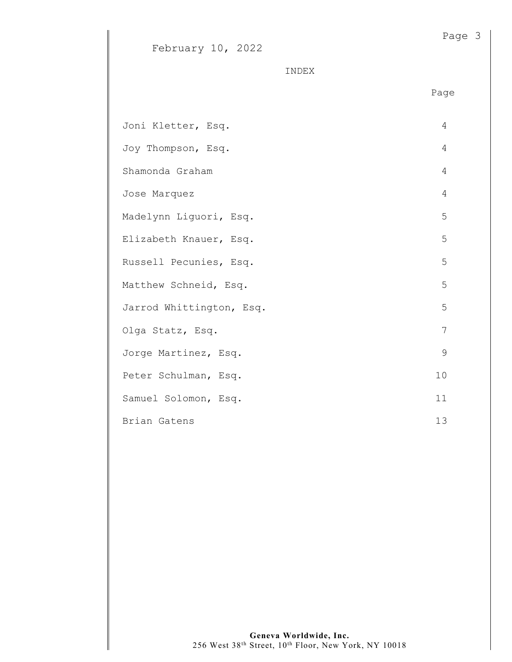INDEX

en de la provincia de la provincia de la provincia de la provincia de la provincia de la provincia de la provi

| Joni Kletter, Esq.       | 4  |
|--------------------------|----|
| Joy Thompson, Esq.       | 4  |
| Shamonda Graham          | 4  |
| Jose Marquez             | 4  |
| Madelynn Liguori, Esq.   | 5  |
| Elizabeth Knauer, Esq.   | 5  |
| Russell Pecunies, Esq.   | 5  |
| Matthew Schneid, Esq.    | 5  |
| Jarrod Whittington, Esq. | 5  |
| Olga Statz, Esq.         | 7  |
| Jorge Martinez, Esq.     | 9  |
| Peter Schulman, Esq.     | 10 |
| Samuel Solomon, Esq.     | 11 |
| Brian Gatens             | 13 |

Page 3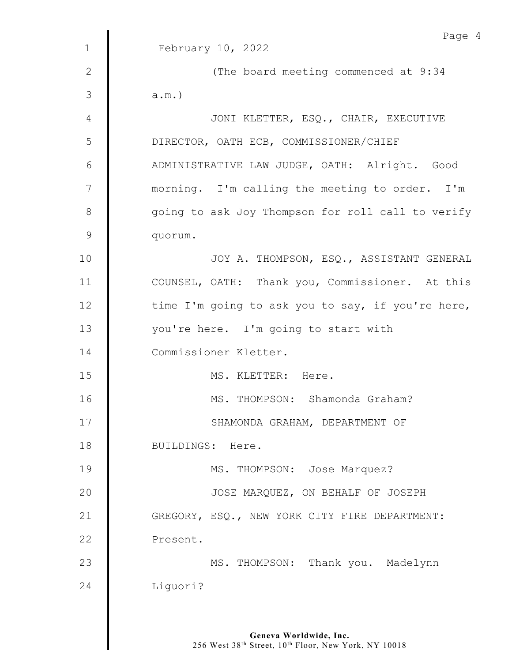|               | Page 4                                            |
|---------------|---------------------------------------------------|
| $\mathbf 1$   | February 10, 2022                                 |
| 2             | (The board meeting commenced at 9:34              |
| 3             | $a.m.$ )                                          |
| 4             | JONI KLETTER, ESQ., CHAIR, EXECUTIVE              |
| 5             | DIRECTOR, OATH ECB, COMMISSIONER/CHIEF            |
| 6             | ADMINISTRATIVE LAW JUDGE, OATH: Alright. Good     |
| 7             | morning. I'm calling the meeting to order. I'm    |
| $8\,$         | going to ask Joy Thompson for roll call to verify |
| $\mathcal{G}$ | quorum.                                           |
| 10            | JOY A. THOMPSON, ESQ., ASSISTANT GENERAL          |
| 11            | COUNSEL, OATH: Thank you, Commissioner. At this   |
| 12            | time I'm going to ask you to say, if you're here, |
| 13            | you're here. I'm going to start with              |
| 14            | Commissioner Kletter.                             |
| 15            | MS. KLETTER: Here.                                |
| 16            | MS. THOMPSON: Shamonda Graham?                    |
| 17            | SHAMONDA GRAHAM, DEPARTMENT OF                    |
| 18            | BUILDINGS: Here.                                  |
| 19            | MS. THOMPSON: Jose Marquez?                       |
| 20            | JOSE MARQUEZ, ON BEHALF OF JOSEPH                 |
| 21            | GREGORY, ESQ., NEW YORK CITY FIRE DEPARTMENT:     |
| 22            | Present.                                          |
| 23            | MS. THOMPSON: Thank you. Madelynn                 |
| 24            | Liquori?                                          |
|               |                                                   |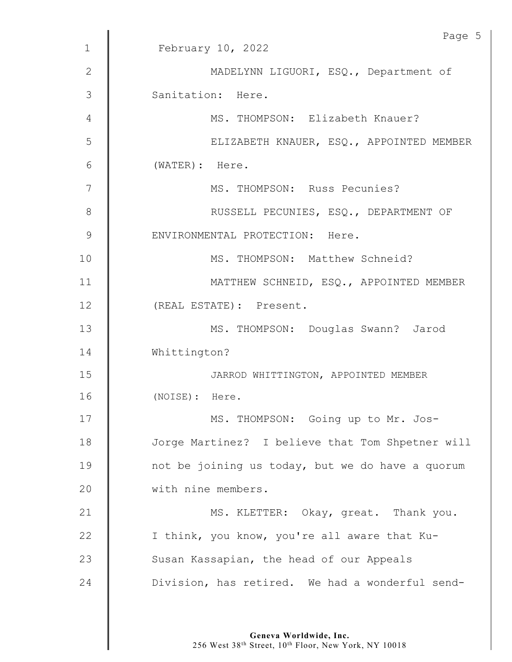|             | Page 5                                           |
|-------------|--------------------------------------------------|
| $\mathbf 1$ | February 10, 2022                                |
| 2           | MADELYNN LIGUORI, ESQ., Department of            |
| 3           | Sanitation: Here.                                |
| 4           | MS. THOMPSON: Elizabeth Knauer?                  |
| 5           | ELIZABETH KNAUER, ESQ., APPOINTED MEMBER         |
| 6           | (WATER): Here.                                   |
| 7           | MS. THOMPSON: Russ Pecunies?                     |
| 8           | RUSSELL PECUNIES, ESQ., DEPARTMENT OF            |
| 9           | ENVIRONMENTAL PROTECTION: Here.                  |
| 10          | MS. THOMPSON: Matthew Schneid?                   |
| 11          | MATTHEW SCHNEID, ESQ., APPOINTED MEMBER          |
| 12          | (REAL ESTATE): Present.                          |
| 13          | MS. THOMPSON: Douglas Swann? Jarod               |
| 14          | Whittington?                                     |
| 15          | JARROD WHITTINGTON, APPOINTED MEMBER             |
| 16          | (NOISE): Here.                                   |
| 17          | MS. THOMPSON: Going up to Mr. Jos-               |
| 18          | Jorge Martinez? I believe that Tom Shpetner will |
| 19          | not be joining us today, but we do have a quorum |
| 20          | with nine members.                               |
| 21          | MS. KLETTER: Okay, great. Thank you.             |
| 22          | I think, you know, you're all aware that Ku-     |
| 23          | Susan Kassapian, the head of our Appeals         |
| 24          | Division, has retired. We had a wonderful send-  |
|             |                                                  |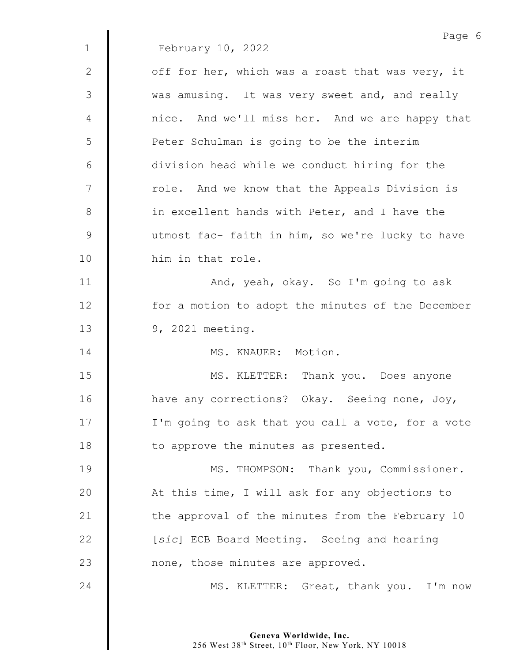|                | Page 6                                            |
|----------------|---------------------------------------------------|
| $\mathbf{1}$   | February 10, 2022                                 |
| 2              | off for her, which was a roast that was very, it  |
| 3              | was amusing. It was very sweet and, and really    |
| 4              | nice. And we'll miss her. And we are happy that   |
| 5              | Peter Schulman is going to be the interim         |
| 6              | division head while we conduct hiring for the     |
| $\overline{7}$ | role. And we know that the Appeals Division is    |
| $8\,$          | in excellent hands with Peter, and I have the     |
| $\mathcal{G}$  | utmost fac- faith in him, so we're lucky to have  |
| 10             | him in that role.                                 |
| 11             | And, yeah, okay. So I'm going to ask              |
| 12             | for a motion to adopt the minutes of the December |
| 13             | 9, 2021 meeting.                                  |
| 14             | MS. KNAUER: Motion.                               |
| 15             | MS. KLETTER: Thank you. Does anyone               |
| 16             | have any corrections? Okay. Seeing none, Joy,     |
| 17             | I'm going to ask that you call a vote, for a vote |
| 18             | to approve the minutes as presented.              |
| 19             | MS. THOMPSON: Thank you, Commissioner.            |
| 20             | At this time, I will ask for any objections to    |
| 21             | the approval of the minutes from the February 10  |
| 22             | [sic] ECB Board Meeting. Seeing and hearing       |
| 23             | none, those minutes are approved.                 |
| 24             | MS. KLETTER: Great, thank you. I'm now            |
|                |                                                   |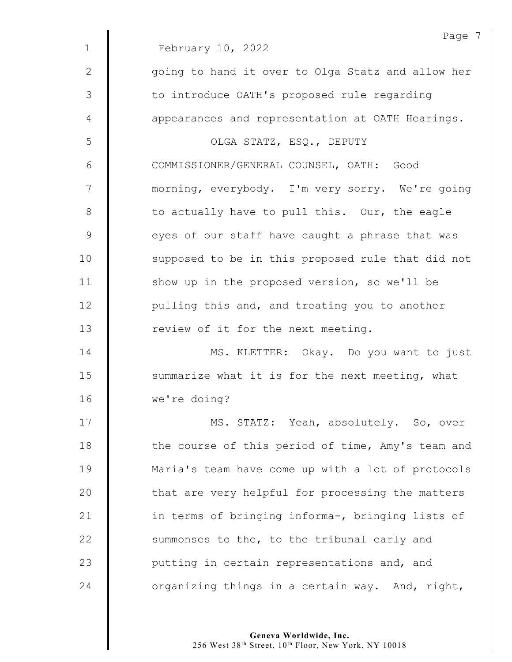|              | Page 7                                            |
|--------------|---------------------------------------------------|
| $\mathbf{1}$ | February 10, 2022                                 |
| 2            | going to hand it over to Olga Statz and allow her |
| 3            | to introduce OATH's proposed rule regarding       |
| 4            | appearances and representation at OATH Hearings.  |
| 5            | OLGA STATZ, ESQ., DEPUTY                          |
| 6            | COMMISSIONER/GENERAL COUNSEL, OATH: Good          |
| 7            | morning, everybody. I'm very sorry. We're going   |
| $8\,$        | to actually have to pull this. Our, the eagle     |
| $\mathsf 9$  | eyes of our staff have caught a phrase that was   |
| 10           | supposed to be in this proposed rule that did not |
| 11           | show up in the proposed version, so we'll be      |
| 12           | pulling this and, and treating you to another     |
| 13           | review of it for the next meeting.                |
| 14           | MS. KLETTER: Okay. Do you want to just            |
| 15           | summarize what it is for the next meeting, what   |
| 16           | we're doing?                                      |
| 17           | MS. STATZ: Yeah, absolutely. So, over             |
| 18           | the course of this period of time, Amy's team and |
| 19           | Maria's team have come up with a lot of protocols |
| 20           | that are very helpful for processing the matters  |
| 21           | in terms of bringing informa-, bringing lists of  |
| 22           | summonses to the, to the tribunal early and       |
| 23           | putting in certain representations and, and       |
| 24           | organizing things in a certain way. And, right,   |
|              |                                                   |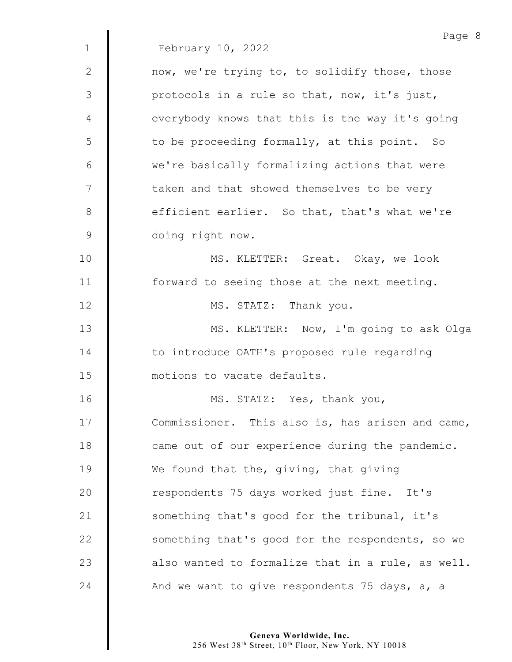Page 8 1 February 10, 2022 2  $\parallel$  now, we're trying to, to solidify those, those  $3 \parallel$  protocols in a rule so that, now, it's just, 4 | everybody knows that this is the way it's going 5 | to be proceeding formally, at this point. So 6 || we're basically formalizing actions that were  $7 \parallel$  taken and that showed themselves to be very 8 **e**fficient earlier. So that, that's what we're 9 doing right now. 10 **MS. KLETTER:** Great. Okay, we look 11 | forward to seeing those at the next meeting. 12 **I** MS. STATZ: Thank you. 13 || MS. KLETTER: Now, I'm going to ask Olga 14 **to introduce OATH's proposed rule regarding** 15 motions to vacate defaults. 16 || MS. STATZ: Yes, thank you, 17 Commissioner. This also is, has arisen and came, 18 **came** out of our experience during the pandemic. 19 We found that the, giving, that giving 20 **c** respondents 75 days worked just fine. It's 21 | something that's good for the tribunal, it's 22  $\parallel$  something that's good for the respondents, so we 23  $\parallel$  also wanted to formalize that in a rule, as well. 24  $\parallel$  And we want to give respondents 75 days, a, a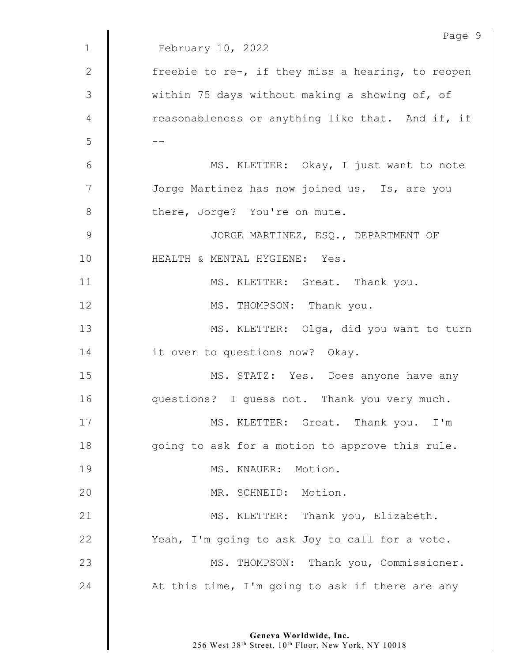|                | Page 9                                            |
|----------------|---------------------------------------------------|
| $\mathbf 1$    | February 10, 2022                                 |
| $\mathbf{2}$   | freebie to re-, if they miss a hearing, to reopen |
| 3              | within 75 days without making a showing of, of    |
| 4              | reasonableness or anything like that. And if, if  |
| 5              |                                                   |
| 6              | MS. KLETTER: Okay, I just want to note            |
| $\overline{7}$ | Jorge Martinez has now joined us. Is, are you     |
| $8\,$          | there, Jorge? You're on mute.                     |
| $\mathsf 9$    | JORGE MARTINEZ, ESQ., DEPARTMENT OF               |
| $10$           | HEALTH & MENTAL HYGIENE: Yes.                     |
| 11             | MS. KLETTER: Great. Thank you.                    |
| 12             | MS. THOMPSON: Thank you.                          |
| 13             | MS. KLETTER: Olga, did you want to turn           |
| 14             | it over to questions now? Okay.                   |
| 15             | MS. STATZ: Yes. Does anyone have any              |
| 16             | questions? I guess not. Thank you very much.      |
| 17             | MS. KLETTER: Great. Thank you. I'm                |
| 18             | going to ask for a motion to approve this rule.   |
| 19             | MS. KNAUER: Motion.                               |
| 20             | MR. SCHNEID: Motion.                              |
| 21             | MS. KLETTER: Thank you, Elizabeth.                |
| 22             | Yeah, I'm going to ask Joy to call for a vote.    |
| 23             | MS. THOMPSON: Thank you, Commissioner.            |
| 24             | At this time, I'm going to ask if there are any   |
|                |                                                   |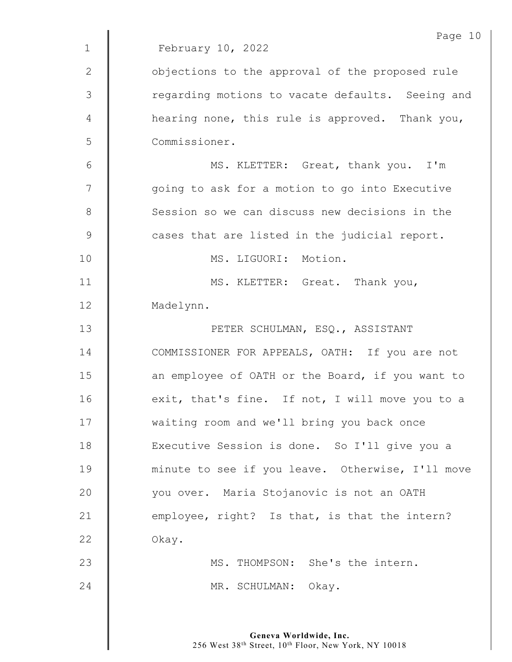|                | Page 10                                          |
|----------------|--------------------------------------------------|
| $\mathbf 1$    | February 10, 2022                                |
| 2              | objections to the approval of the proposed rule  |
| 3              | regarding motions to vacate defaults. Seeing and |
| $\overline{4}$ | hearing none, this rule is approved. Thank you,  |
| 5              | Commissioner.                                    |
| 6              | MS. KLETTER: Great, thank you. I'm               |
| 7              | going to ask for a motion to go into Executive   |
| $8\,$          | Session so we can discuss new decisions in the   |
| $\mathsf 9$    | cases that are listed in the judicial report.    |
| 10             | MS. LIGUORI: Motion.                             |
| 11             | MS. KLETTER: Great. Thank you,                   |
| 12             | Madelynn.                                        |
| 13             | PETER SCHULMAN, ESQ., ASSISTANT                  |
| 14             | COMMISSIONER FOR APPEALS, OATH: If you are not   |
| 15             | an employee of OATH or the Board, if you want to |
| 16             | exit, that's fine. If not, I will move you to a  |
| 17             | waiting room and we'll bring you back once       |
| 18             | Executive Session is done. So I'll give you a    |
| 19             | minute to see if you leave. Otherwise, I'll move |
| 20             | you over. Maria Stojanovic is not an OATH        |
| 21             | employee, right? Is that, is that the intern?    |
| 22             | Okay.                                            |
| 23             | MS. THOMPSON: She's the intern.                  |
| 24             | MR. SCHULMAN:<br>Okay.                           |
|                |                                                  |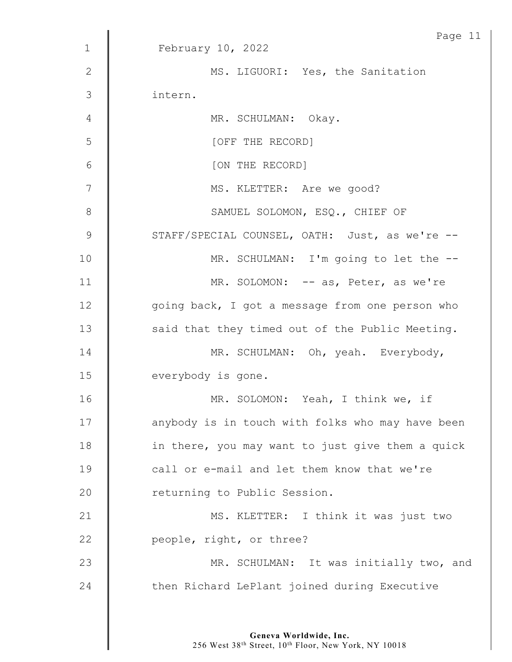|                | Page 11                                          |
|----------------|--------------------------------------------------|
| $\mathbf 1$    | February 10, 2022                                |
| $\mathbf{2}$   | MS. LIGUORI: Yes, the Sanitation                 |
| 3              | intern.                                          |
| 4              | MR. SCHULMAN: Okay.                              |
| 5              | [OFF THE RECORD]                                 |
| 6              | [ON THE RECORD]                                  |
| $\overline{7}$ | MS. KLETTER: Are we good?                        |
| $8\,$          | SAMUEL SOLOMON, ESQ., CHIEF OF                   |
| $\mathcal{G}$  | STAFF/SPECIAL COUNSEL, OATH: Just, as we're --   |
| 10             | MR. SCHULMAN: I'm going to let the --            |
| 11             | MR. SOLOMON: -- as, Peter, as we're              |
| 12             | going back, I got a message from one person who  |
| 13             | said that they timed out of the Public Meeting.  |
| 14             | MR. SCHULMAN: Oh, yeah. Everybody,               |
| 15             | everybody is gone.                               |
| 16             | MR. SOLOMON: Yeah, I think we, if                |
| 17             | anybody is in touch with folks who may have been |
| 18             | in there, you may want to just give them a quick |
| 19             | call or e-mail and let them know that we're      |
| 20             | returning to Public Session.                     |
| 21             | MS. KLETTER: I think it was just two             |
| 22             | people, right, or three?                         |
| 23             | MR. SCHULMAN: It was initially two, and          |
| 24             | then Richard LePlant joined during Executive     |
|                |                                                  |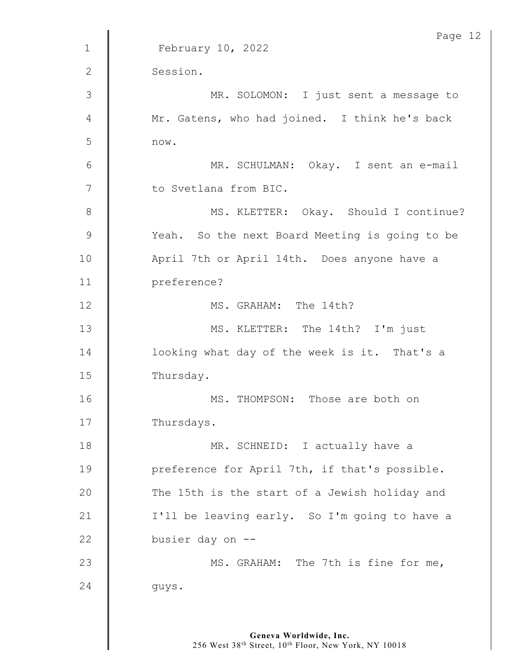|              | Page 12                                        |
|--------------|------------------------------------------------|
| $\mathbf{1}$ | February 10, 2022                              |
| 2            | Session.                                       |
| 3            | MR. SOLOMON: I just sent a message to          |
| 4            | Mr. Gatens, who had joined. I think he's back  |
| 5            | now.                                           |
| $6\,$        | MR. SCHULMAN: Okay. I sent an e-mail           |
| 7            | to Svetlana from BIC.                          |
| $8\,$        | MS. KLETTER: Okay. Should I continue?          |
| $\mathsf 9$  | Yeah. So the next Board Meeting is going to be |
| 10           | April 7th or April 14th. Does anyone have a    |
| 11           | preference?                                    |
| 12           | MS. GRAHAM: The 14th?                          |
| 13           | MS. KLETTER: The 14th? I'm just                |
| 14           | looking what day of the week is it. That's a   |
| 15           | Thursday.                                      |
| 16           | MS. THOMPSON: Those are both on                |
| 17           | Thursdays.                                     |
| 18           | MR. SCHNEID: I actually have a                 |
| 19           | preference for April 7th, if that's possible.  |
| 20           | The 15th is the start of a Jewish holiday and  |
| 21           | I'll be leaving early. So I'm going to have a  |
| 22           | busier day on --                               |
| 23           | MS. GRAHAM: The 7th is fine for me,            |
| 24           | guys.                                          |
|              |                                                |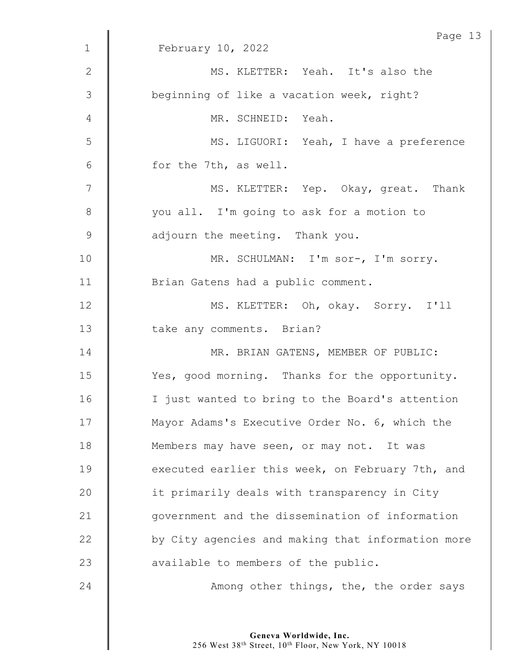|                | Page 13                                           |
|----------------|---------------------------------------------------|
| $\mathbf 1$    | February 10, 2022                                 |
| $\mathbf{2}$   | MS. KLETTER: Yeah. It's also the                  |
| 3              | beginning of like a vacation week, right?         |
| $\overline{4}$ | MR. SCHNEID: Yeah.                                |
| 5              | MS. LIGUORI: Yeah, I have a preference            |
| $6\,$          | for the 7th, as well.                             |
| $\overline{7}$ | MS. KLETTER: Yep. Okay, great. Thank              |
| $\,8\,$        | you all. I'm going to ask for a motion to         |
| $\mathcal{G}$  | adjourn the meeting. Thank you.                   |
| 10             | MR. SCHULMAN: I'm sor-, I'm sorry.                |
| 11             | Brian Gatens had a public comment.                |
| 12             | MS. KLETTER: Oh, okay. Sorry. I'll                |
| 13             | take any comments. Brian?                         |
| 14             | MR. BRIAN GATENS, MEMBER OF PUBLIC:               |
| 15             | Yes, good morning. Thanks for the opportunity.    |
| 16             | I just wanted to bring to the Board's attention   |
| 17             | Mayor Adams's Executive Order No. 6, which the    |
| 18             | Members may have seen, or may not. It was         |
| 19             | executed earlier this week, on February 7th, and  |
| 20             | it primarily deals with transparency in City      |
| 21             | government and the dissemination of information   |
|                |                                                   |
| 22             | by City agencies and making that information more |
| 23             | available to members of the public.               |
| 24             | Among other things, the, the order says           |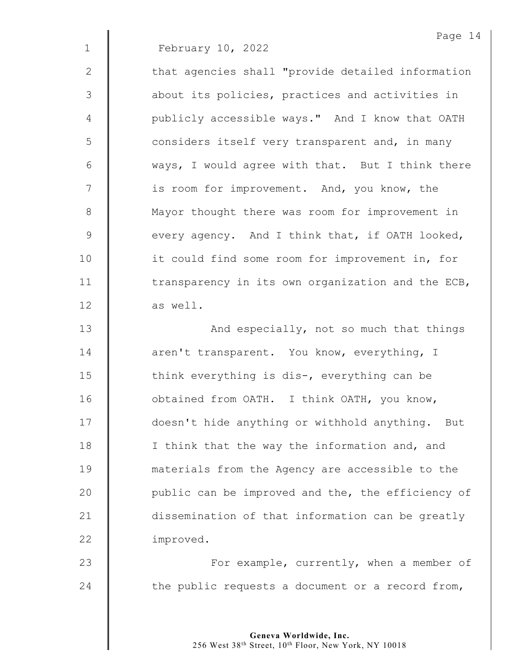2 | that agencies shall "provide detailed information 3 | about its policies, practices and activities in 4 | publicly accessible ways." And I know that OATH  $5 \parallel$  considers itself very transparent and, in many  $6 \parallel$  ways, I would agree with that. But I think there 7 | is room for improvement. And, you know, the 8 Mayor thought there was room for improvement in  $9 \parallel$  every agency. And I think that, if OATH looked, 10 | it could find some room for improvement in, for 11  $\parallel$  transparency in its own organization and the ECB, 12  $\parallel$  as well.

13 | And especially, not so much that things 14 **d** aren't transparent. You know, everything, I 15 Think everything is dis-, everything can be 16 | obtained from OATH. I think OATH, you know, 17 | doesn't hide anything or withhold anything. But 18 | I think that the way the information and, and 19 materials from the Agency are accessible to the 20 | public can be improved and the, the efficiency of 21 dissemination of that information can be greatly 22 | improved.

23 | For example, currently, when a member of 24  $\parallel$  the public requests a document or a record from,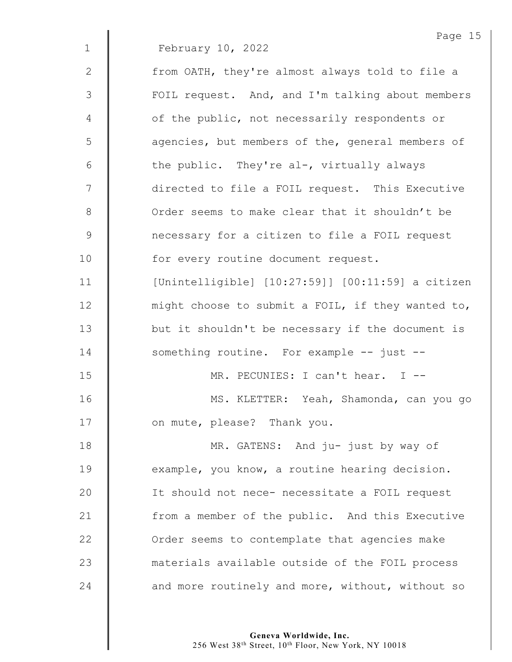2 | from OATH, they're almost always told to file a 3 | FOIL request. And, and I'm talking about members 4 | of the public, not necessarily respondents or 5 | agencies, but members of the, general members of 6  $\parallel$  the public. They're al-, virtually always 7 | directed to file a FOIL request. This Executive 8 | Order seems to make clear that it shouldn't be 9 **0** necessary for a citizen to file a FOIL request 10 | for every routine document request. 11 [Unintelligible] [10:27:59]] [00:11:59] a citizen 12 might choose to submit a FOIL, if they wanted to, 13 | but it shouldn't be necessary if the document is 14 Something routine. For example -- just --15 MR. PECUNIES: I can't hear. I -- 16 | MS. KLETTER: Yeah, Shamonda, can you go 17 **I** on mute, please? Thank you. 18 **MR. GATENS:** And ju- just by way of 19 **example,** you know, a routine hearing decision. 20 | It should not nece- necessitate a FOIL request 21 | from a member of the public. And this Executive

23 materials available outside of the FOIL process 24  $\parallel$  and more routinely and more, without, without so

22 **J** Order seems to contemplate that agencies make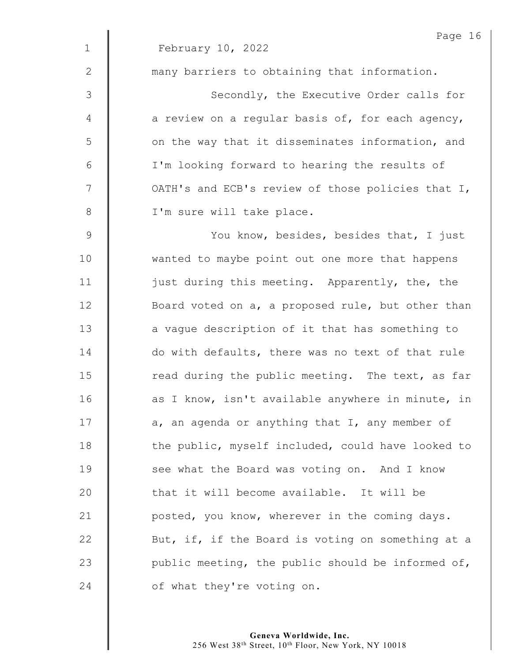|              | Page 16                                           |
|--------------|---------------------------------------------------|
| $\mathbf 1$  | February 10, 2022                                 |
| $\mathbf{2}$ | many barriers to obtaining that information.      |
| 3            | Secondly, the Executive Order calls for           |
| 4            | a review on a regular basis of, for each agency,  |
| 5            | on the way that it disseminates information, and  |
| $6\,$        | I'm looking forward to hearing the results of     |
| 7            | OATH's and ECB's review of those policies that I, |
| $8\,$        | I'm sure will take place.                         |
| 9            | You know, besides, besides that, I just           |
| 10           | wanted to maybe point out one more that happens   |
| 11           | just during this meeting. Apparently, the, the    |
| 12           | Board voted on a, a proposed rule, but other than |
| 13           | a vague description of it that has something to   |
| 14           | do with defaults, there was no text of that rule  |
| 15           | read during the public meeting. The text, as far  |
| 16           | as I know, isn't available anywhere in minute, in |
| 17           | a, an agenda or anything that I, any member of    |
| 18           | the public, myself included, could have looked to |
| 19           | see what the Board was voting on. And I know      |
| 20           | that it will become available. It will be         |
| 21           | posted, you know, wherever in the coming days.    |
| 22           | But, if, if the Board is voting on something at a |
| 23           | public meeting, the public should be informed of, |
| 24           | of what they're voting on.                        |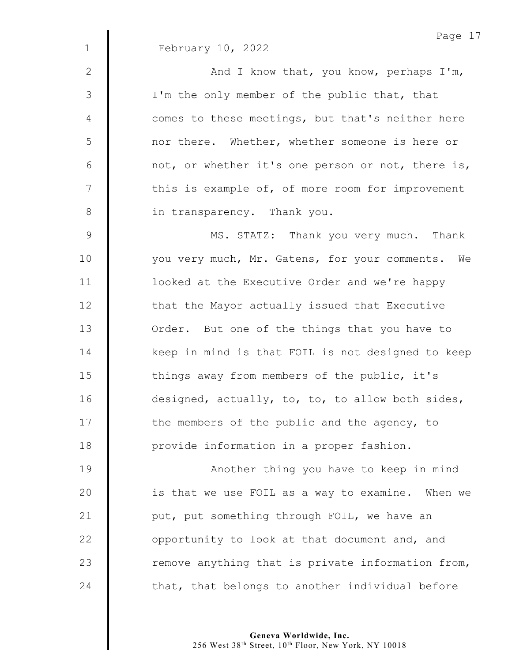|                | Page 17                                           |
|----------------|---------------------------------------------------|
| $\mathbf 1$    | February 10, 2022                                 |
| $\mathbf{2}$   | And I know that, you know, perhaps I'm,           |
| $\mathfrak{Z}$ | I'm the only member of the public that, that      |
| $\overline{4}$ | comes to these meetings, but that's neither here  |
| 5              | nor there. Whether, whether someone is here or    |
| 6              | not, or whether it's one person or not, there is, |
| $\overline{7}$ | this is example of, of more room for improvement  |
| $\,8\,$        | in transparency. Thank you.                       |
| $\mathsf 9$    | MS. STATZ: Thank you very much. Thank             |
| 10             | you very much, Mr. Gatens, for your comments. We  |
| 11             | looked at the Executive Order and we're happy     |
| 12             | that the Mayor actually issued that Executive     |
| 13             | Order. But one of the things that you have to     |
| 14             | keep in mind is that FOIL is not designed to keep |
| 15             | things away from members of the public, it's      |
| 16             | designed, actually, to, to, to allow both sides,  |
| 17             | the members of the public and the agency, to      |
| 18             | provide information in a proper fashion.          |
| 19             | Another thing you have to keep in mind            |
| 20             | is that we use FOIL as a way to examine. When we  |
| 21             | put, put something through FOIL, we have an       |
| 22             | opportunity to look at that document and, and     |
| 23             | remove anything that is private information from, |
| 24             | that, that belongs to another individual before   |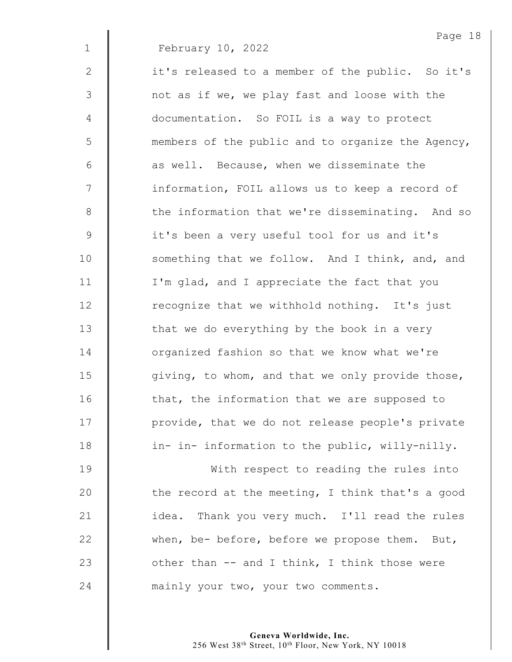Page 18

| $\mathbf{2}$   | it's released to a member of the public. So it's  |
|----------------|---------------------------------------------------|
| $\mathfrak{Z}$ | not as if we, we play fast and loose with the     |
| 4              | documentation. So FOIL is a way to protect        |
| 5              | members of the public and to organize the Agency, |
| $6\,$          | as well. Because, when we disseminate the         |
| 7              | information, FOIL allows us to keep a record of   |
| $8\,$          | the information that we're disseminating. And so  |
| $\mathsf 9$    | it's been a very useful tool for us and it's      |
| 10             | something that we follow. And I think, and, and   |
| 11             | I'm glad, and I appreciate the fact that you      |
| 12             | recognize that we withhold nothing. It's just     |
| 13             | that we do everything by the book in a very       |
| 14             | organized fashion so that we know what we're      |
| 15             | giving, to whom, and that we only provide those,  |
| 16             | that, the information that we are supposed to     |
| 17             | provide, that we do not release people's private  |
| 18             | in- in- information to the public, willy-nilly.   |
| 19             | With respect to reading the rules into            |
| 20             | the record at the meeting, I think that's a good  |
| 21             | idea. Thank you very much. I'll read the rules    |
| 22             | when, be- before, before we propose them. But,    |
| 23             | other than -- and I think, I think those were     |
| 24             | mainly your two, your two comments.               |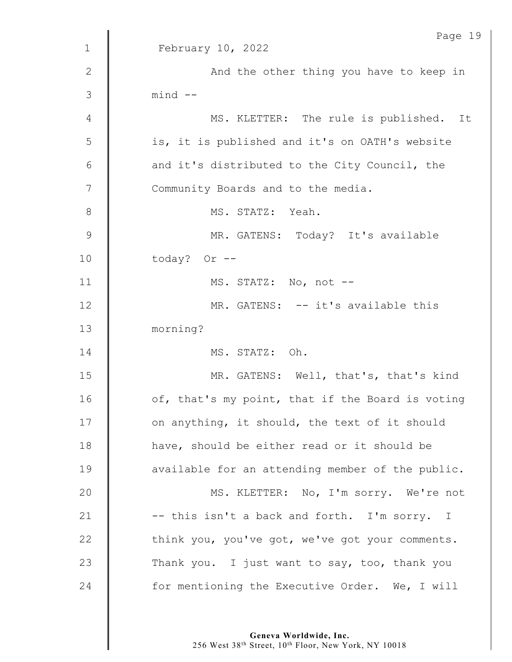|                | Page 19                                          |
|----------------|--------------------------------------------------|
| $\mathbf{1}$   | February 10, 2022                                |
| $\mathbf{2}$   | And the other thing you have to keep in          |
| 3              | $mind$ --                                        |
| 4              | MS. KLETTER: The rule is published. It           |
| 5              | is, it is published and it's on OATH's website   |
| 6              | and it's distributed to the City Council, the    |
| $\overline{7}$ | Community Boards and to the media.               |
| $8\,$          | MS. STATZ: Yeah.                                 |
| $\mathsf 9$    | MR. GATENS: Today? It's available                |
| 10             | today? Or --                                     |
| 11             | MS. STATZ: No, not --                            |
| 12             | MR. GATENS: -- it's available this               |
| 13             | morning?                                         |
| 14             | MS. STATZ: Oh.                                   |
| 15             | MR. GATENS: Well, that's, that's kind            |
| 16             | of, that's my point, that if the Board is voting |
| 17             | on anything, it should, the text of it should    |
| 18             | have, should be either read or it should be      |
| 19             | available for an attending member of the public. |
| 20             | MS. KLETTER: No, I'm sorry. We're not            |
| 21             | -- this isn't a back and forth. I'm sorry. I     |
| 22             | think you, you've got, we've got your comments.  |
| 23             | Thank you. I just want to say, too, thank you    |
| 24             | for mentioning the Executive Order. We, I will   |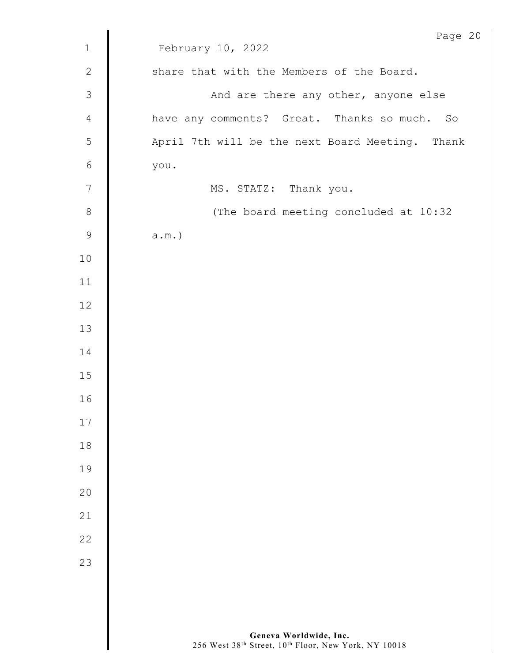|                | Page 20                                         |
|----------------|-------------------------------------------------|
| $\mathbf 1$    | February 10, 2022                               |
| $\mathbf{2}$   | share that with the Members of the Board.       |
| $\mathcal{S}$  | And are there any other, anyone else            |
| 4              | have any comments? Great. Thanks so much. So    |
| $\mathsf S$    | April 7th will be the next Board Meeting. Thank |
| $\sqrt{6}$     | you.                                            |
| $\overline{7}$ | MS. STATZ: Thank you.                           |
| $8\,$          | (The board meeting concluded at 10:32           |
| $\mathcal{G}$  | $a.m.$ )                                        |
| $10$           |                                                 |
| 11             |                                                 |
| 12             |                                                 |
| 13             |                                                 |
| 14             |                                                 |
| 15             |                                                 |
| 16             |                                                 |
| 17             |                                                 |
| 18             |                                                 |
| 19             |                                                 |
| 20             |                                                 |
| 21             |                                                 |
| 22             |                                                 |
| 23             |                                                 |
|                |                                                 |
|                |                                                 |